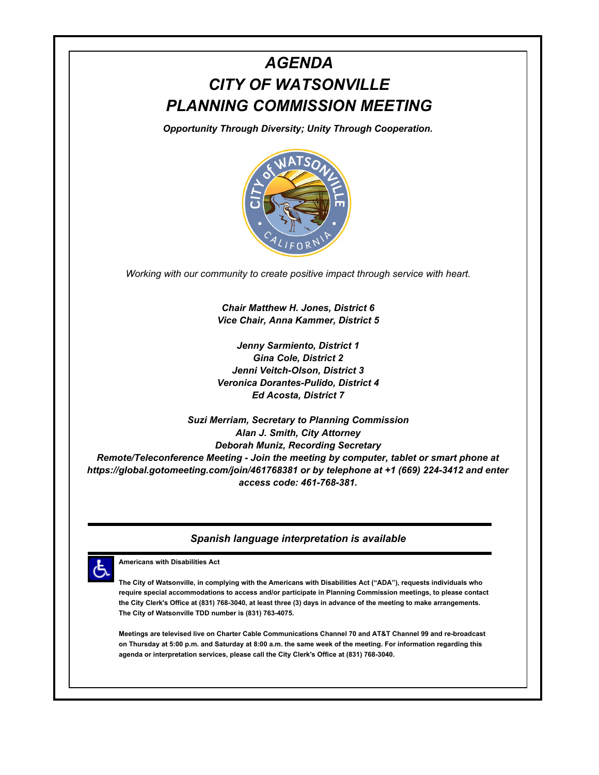# *AGENDA CITY OF WATSONVILLE PLANNING COMMISSION MEETING*

*Opportunity Through Diversity; Unity Through Cooperation.*



*Working with our community to create positive impact through service with heart.*

*Chair Matthew H. Jones, District 6 Vice Chair, Anna Kammer, District 5*

*Jenny Sarmiento, District 1 Gina Cole, District 2 Jenni Veitch-Olson, District 3 Veronica Dorantes-Pulido, District 4 Ed Acosta, District 7*

*Suzi Merriam, Secretary to Planning Commission Alan J. Smith, City Attorney Deborah Muniz, Recording Secretary Remote/Teleconference Meeting - Join the meeting by computer, tablet or smart phone at https://global.gotomeeting.com/join/461768381 or by telephone at +1 (669) 224-3412 and enter access code: 461-768-381.*

#### *Spanish language interpretation is available*



**Americans with Disabilities Act**

**The City of Watsonville, in complying with the Americans with Disabilities Act ("ADA"), requests individuals who require special accommodations to access and/or participate in Planning Commission meetings, to please contact the City Clerk's Office at (831) 768-3040, at least three (3) days in advance of the meeting to make arrangements. The City of Watsonville TDD number is (831) 763-4075.** 

**Meetings are televised live on Charter Cable Communications Channel 70 and AT&T Channel 99 and re-broadcast on Thursday at 5:00 p.m. and Saturday at 8:00 a.m. the same week of the meeting. For information regarding this agenda or interpretation services, please call the City Clerk's Office at (831) 768-3040.**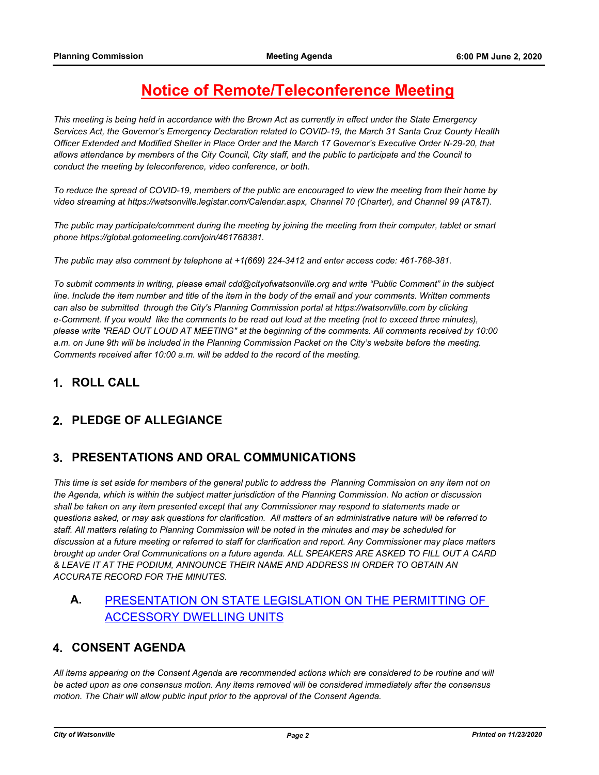# **Notice of Remote/Teleconference Meeting**

*This meeting is being held in accordance with the Brown Act as currently in effect under the State Emergency Services Act, the Governor's Emergency Declaration related to COVID-19, the March 31 Santa Cruz County Health Officer Extended and Modified Shelter in Place Order and the March 17 Governor's Executive Order N-29-20, that allows attendance by members of the City Council, City staff, and the public to participate and the Council to conduct the meeting by teleconference, video conference, or both.*

*To reduce the spread of COVID-19, members of the public are encouraged to view the meeting from their home by video streaming at https://watsonville.legistar.com/Calendar.aspx, Channel 70 (Charter), and Channel 99 (AT&T).* 

*The public may participate/comment during the meeting by joining the meeting from their computer, tablet or smart phone https://global.gotomeeting.com/join/461768381.*

*The public may also comment by telephone at +1(669) 224-3412 and enter access code: 461-768-381.*

*To submit comments in writing, please email cdd@cityofwatsonville.org and write "Public Comment" in the subject*  line. Include the item number and title of the item in the body of the email and your comments. Written comments can also be submitted through the City's Planning Commission portal at https://watsonvlille.com by clicking *e-Comment. If you would like the comments to be read out loud at the meeting (not to exceed three minutes), please write "READ OUT LOUD AT MEETING" at the beginning of the comments. All comments received by 10:00 a.m. on June 9th will be included in the Planning Commission Packet on the City's website before the meeting. Comments received after 10:00 a.m. will be added to the record of the meeting.*

# **1. ROLL CALL**

#### **2. PLEDGE OF ALLEGIANCE**

#### **3. PRESENTATIONS AND ORAL COMMUNICATIONS**

*This time is set aside for members of the general public to address the Planning Commission on any item not on the Agenda, which is within the subject matter jurisdiction of the Planning Commission. No action or discussion shall be taken on any item presented except that any Commissioner may respond to statements made or questions asked, or may ask questions for clarification. All matters of an administrative nature will be referred to staff. All matters relating to Planning Commission will be noted in the minutes and may be scheduled for discussion at a future meeting or referred to staff for clarification and report. Any Commissioner may place matters brought up under Oral Communications on a future agenda. ALL SPEAKERS ARE ASKED TO FILL OUT A CARD & LEAVE IT AT THE PODIUM, ANNOUNCE THEIR NAME AND ADDRESS IN ORDER TO OBTAIN AN ACCURATE RECORD FOR THE MINUTES.*

# **A.** [PRESENTATION ON STATE LEGISLATION ON THE PERMITTING OF](http://watsonville.legistar.com/gateway.aspx?m=l&id=/matter.aspx?key=3239)  ACCESSORY DWELLING UNITS

#### **4. CONSENT AGENDA**

*All items appearing on the Consent Agenda are recommended actions which are considered to be routine and will be acted upon as one consensus motion. Any items removed will be considered immediately after the consensus motion. The Chair will allow public input prior to the approval of the Consent Agenda.*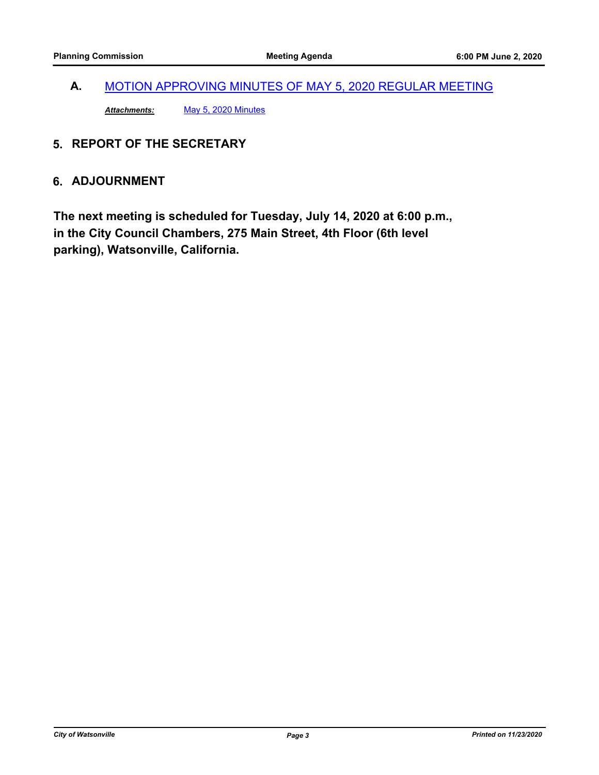# **A.** [MOTION APPROVING MINUTES OF MAY 5, 2020 REGULAR MEETING](http://watsonville.legistar.com/gateway.aspx?m=l&id=/matter.aspx?key=3206)

*Attachments:* [May 5, 2020 Minutes](http://watsonville.legistar.com/gateway.aspx?M=F&ID=46e1c4f5-b7a0-47c1-9887-c4997f567d22.docx)

# **5. REPORT OF THE SECRETARY**

#### **6. ADJOURNMENT**

**The next meeting is scheduled for Tuesday, July 14, 2020 at 6:00 p.m., in the City Council Chambers, 275 Main Street, 4th Floor (6th level parking), Watsonville, California.**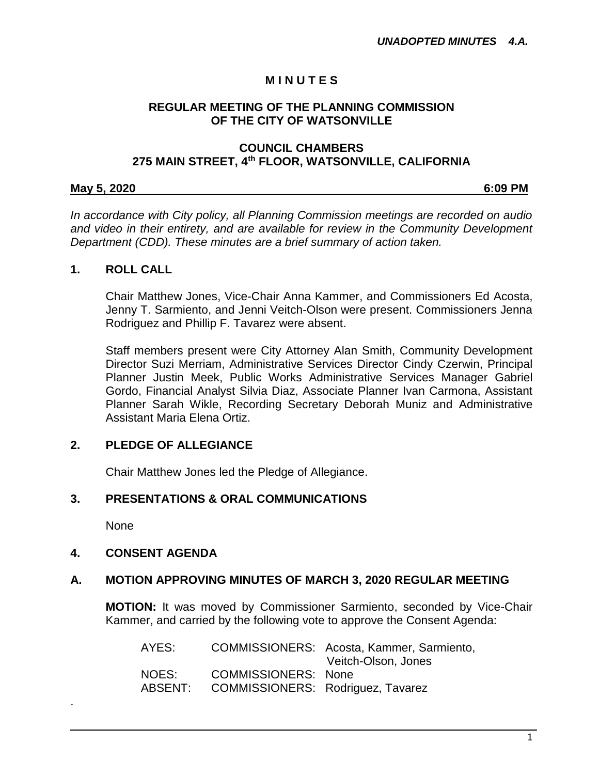# **M I N U T E S**

#### **REGULAR MEETING OF THE PLANNING COMMISSION OF THE CITY OF WATSONVILLE**

#### **COUNCIL CHAMBERS 275 MAIN STREET, 4th FLOOR, WATSONVILLE, CALIFORNIA**

#### **May 5, 2020 6:09 PM**

*In accordance with City policy, all Planning Commission meetings are recorded on audio and video in their entirety, and are available for review in the Community Development Department (CDD). These minutes are a brief summary of action taken.*

#### **1. ROLL CALL**

Chair Matthew Jones, Vice-Chair Anna Kammer, and Commissioners Ed Acosta, Jenny T. Sarmiento, and Jenni Veitch-Olson were present. Commissioners Jenna Rodriguez and Phillip F. Tavarez were absent.

Staff members present were City Attorney Alan Smith, Community Development Director Suzi Merriam, Administrative Services Director Cindy Czerwin, Principal Planner Justin Meek, Public Works Administrative Services Manager Gabriel Gordo, Financial Analyst Silvia Diaz, Associate Planner Ivan Carmona, Assistant Planner Sarah Wikle, Recording Secretary Deborah Muniz and Administrative Assistant Maria Elena Ortiz.

# **2. PLEDGE OF ALLEGIANCE**

Chair Matthew Jones led the Pledge of Allegiance.

#### **3. PRESENTATIONS & ORAL COMMUNICATIONS**

None

.

#### **4. CONSENT AGENDA**

#### **A. MOTION APPROVING MINUTES OF MARCH 3, 2020 REGULAR MEETING**

**MOTION:** It was moved by Commissioner Sarmiento, seconded by Vice-Chair Kammer, and carried by the following vote to approve the Consent Agenda:

| AYES:   |                                          | COMMISSIONERS: Acosta, Kammer, Sarmiento,<br>Veitch-Olson, Jones |
|---------|------------------------------------------|------------------------------------------------------------------|
| NOES:   | <b>COMMISSIONERS: None</b>               |                                                                  |
| ABSENT: | <b>COMMISSIONERS: Rodriguez, Tavarez</b> |                                                                  |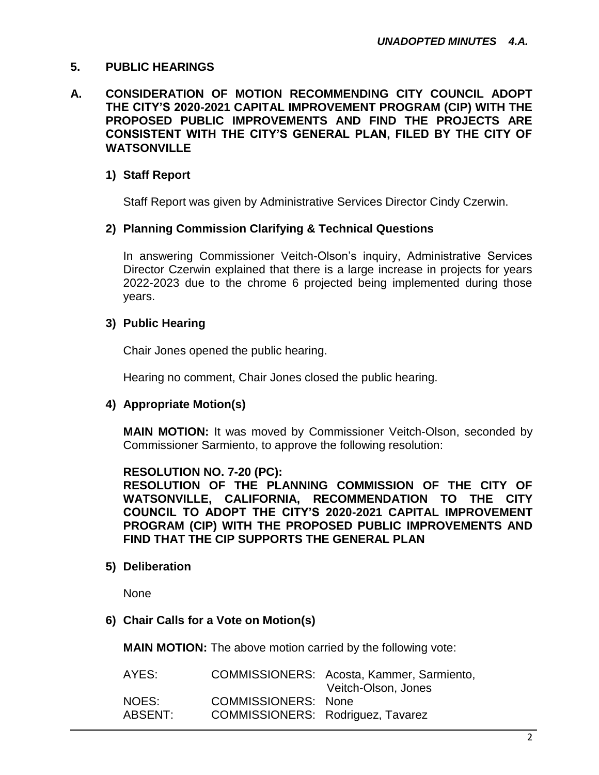#### **5. PUBLIC HEARINGS**

**A. CONSIDERATION OF MOTION RECOMMENDING CITY COUNCIL ADOPT THE CITY'S 2020-2021 CAPITAL IMPROVEMENT PROGRAM (CIP) WITH THE PROPOSED PUBLIC IMPROVEMENTS AND FIND THE PROJECTS ARE CONSISTENT WITH THE CITY'S GENERAL PLAN, FILED BY THE CITY OF WATSONVILLE**

#### **1) Staff Report**

Staff Report was given by Administrative Services Director Cindy Czerwin.

#### **2) Planning Commission Clarifying & Technical Questions**

In answering Commissioner Veitch-Olson's inquiry, Administrative Services Director Czerwin explained that there is a large increase in projects for years 2022-2023 due to the chrome 6 projected being implemented during those years.

#### **3) Public Hearing**

Chair Jones opened the public hearing.

Hearing no comment, Chair Jones closed the public hearing.

#### **4) Appropriate Motion(s)**

**MAIN MOTION:** It was moved by Commissioner Veitch-Olson, seconded by Commissioner Sarmiento, to approve the following resolution:

#### **RESOLUTION NO. 7-20 (PC):**

**RESOLUTION OF THE PLANNING COMMISSION OF THE CITY OF WATSONVILLE, CALIFORNIA, RECOMMENDATION TO THE CITY COUNCIL TO ADOPT THE CITY'S 2020-2021 CAPITAL IMPROVEMENT PROGRAM (CIP) WITH THE PROPOSED PUBLIC IMPROVEMENTS AND FIND THAT THE CIP SUPPORTS THE GENERAL PLAN**

#### **5) Deliberation**

None

#### **6) Chair Calls for a Vote on Motion(s)**

**MAIN MOTION:** The above motion carried by the following vote:

| AYES:   |                                   | COMMISSIONERS: Acosta, Kammer, Sarmiento,<br>Veitch-Olson, Jones |
|---------|-----------------------------------|------------------------------------------------------------------|
| NOES:   | <b>COMMISSIONERS: None</b>        |                                                                  |
| ABSENT: | COMMISSIONERS: Rodriguez, Tavarez |                                                                  |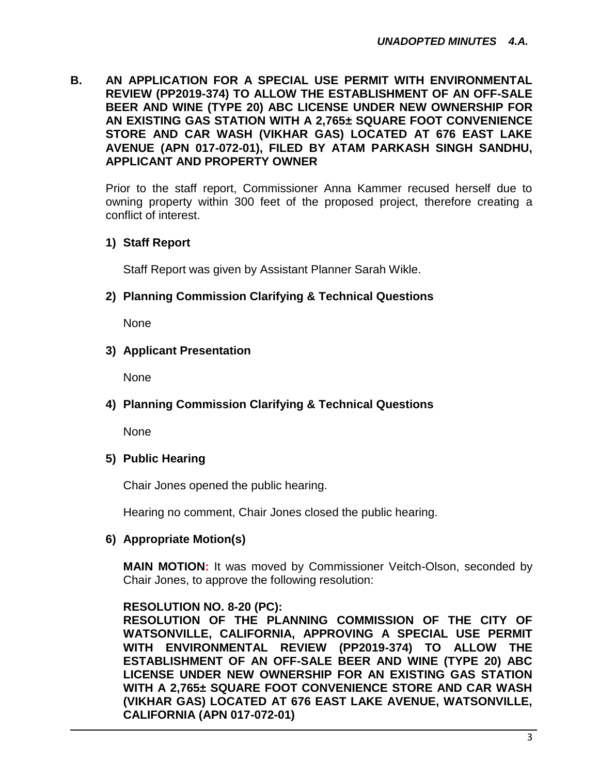**B. AN APPLICATION FOR A SPECIAL USE PERMIT WITH ENVIRONMENTAL REVIEW (PP2019-374) TO ALLOW THE ESTABLISHMENT OF AN OFF-SALE BEER AND WINE (TYPE 20) ABC LICENSE UNDER NEW OWNERSHIP FOR AN EXISTING GAS STATION WITH A 2,765± SQUARE FOOT CONVENIENCE STORE AND CAR WASH (VIKHAR GAS) LOCATED AT 676 EAST LAKE AVENUE (APN 017-072-01), FILED BY ATAM PARKASH SINGH SANDHU, APPLICANT AND PROPERTY OWNER**

Prior to the staff report, Commissioner Anna Kammer recused herself due to owning property within 300 feet of the proposed project, therefore creating a conflict of interest.

# **1) Staff Report**

Staff Report was given by Assistant Planner Sarah Wikle.

#### **2) Planning Commission Clarifying & Technical Questions**

None

#### **3) Applicant Presentation**

None

#### **4) Planning Commission Clarifying & Technical Questions**

None

#### **5) Public Hearing**

Chair Jones opened the public hearing.

Hearing no comment, Chair Jones closed the public hearing.

#### **6) Appropriate Motion(s)**

**MAIN MOTION:** It was moved by Commissioner Veitch-Olson, seconded by Chair Jones, to approve the following resolution:

#### **RESOLUTION NO. 8-20 (PC):**

**RESOLUTION OF THE PLANNING COMMISSION OF THE CITY OF WATSONVILLE, CALIFORNIA, APPROVING A SPECIAL USE PERMIT WITH ENVIRONMENTAL REVIEW (PP2019-374) TO ALLOW THE ESTABLISHMENT OF AN OFF-SALE BEER AND WINE (TYPE 20) ABC LICENSE UNDER NEW OWNERSHIP FOR AN EXISTING GAS STATION WITH A 2,765± SQUARE FOOT CONVENIENCE STORE AND CAR WASH (VIKHAR GAS) LOCATED AT 676 EAST LAKE AVENUE, WATSONVILLE, CALIFORNIA (APN 017-072-01)**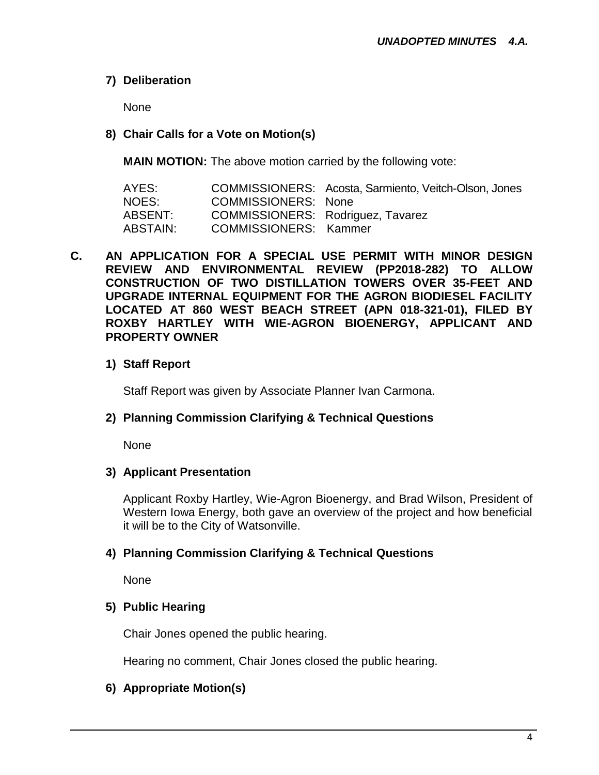# **7) Deliberation**

None

# **8) Chair Calls for a Vote on Motion(s)**

**MAIN MOTION:** The above motion carried by the following vote:

| AYES:    |                                   | COMMISSIONERS: Acosta, Sarmiento, Veitch-Olson, Jones |
|----------|-----------------------------------|-------------------------------------------------------|
| NOES:    | <b>COMMISSIONERS: None</b>        |                                                       |
| ABSENT:  | COMMISSIONERS: Rodriguez, Tavarez |                                                       |
| ABSTAIN: | <b>COMMISSIONERS: Kammer</b>      |                                                       |

**C. AN APPLICATION FOR A SPECIAL USE PERMIT WITH MINOR DESIGN REVIEW AND ENVIRONMENTAL REVIEW (PP2018-282) TO ALLOW CONSTRUCTION OF TWO DISTILLATION TOWERS OVER 35-FEET AND UPGRADE INTERNAL EQUIPMENT FOR THE AGRON BIODIESEL FACILITY LOCATED AT 860 WEST BEACH STREET (APN 018-321-01), FILED BY ROXBY HARTLEY WITH WIE-AGRON BIOENERGY, APPLICANT AND PROPERTY OWNER**

# **1) Staff Report**

Staff Report was given by Associate Planner Ivan Carmona.

#### **2) Planning Commission Clarifying & Technical Questions**

None

#### **3) Applicant Presentation**

Applicant Roxby Hartley, Wie-Agron Bioenergy, and Brad Wilson, President of Western Iowa Energy, both gave an overview of the project and how beneficial it will be to the City of Watsonville.

# **4) Planning Commission Clarifying & Technical Questions**

None

# **5) Public Hearing**

Chair Jones opened the public hearing.

Hearing no comment, Chair Jones closed the public hearing.

# **6) Appropriate Motion(s)**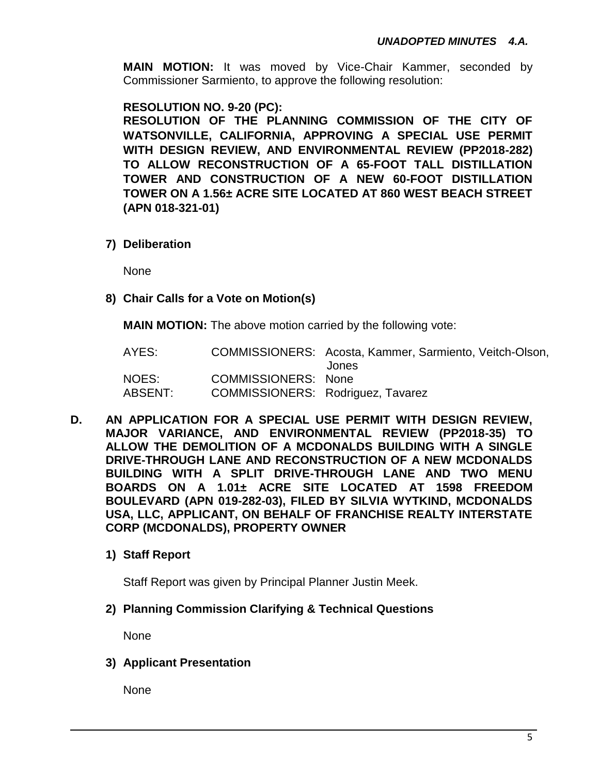**MAIN MOTION:** It was moved by Vice-Chair Kammer, seconded by Commissioner Sarmiento, to approve the following resolution:

# **RESOLUTION NO. 9-20 (PC):**

**RESOLUTION OF THE PLANNING COMMISSION OF THE CITY OF WATSONVILLE, CALIFORNIA, APPROVING A SPECIAL USE PERMIT WITH DESIGN REVIEW, AND ENVIRONMENTAL REVIEW (PP2018-282) TO ALLOW RECONSTRUCTION OF A 65-FOOT TALL DISTILLATION TOWER AND CONSTRUCTION OF A NEW 60-FOOT DISTILLATION TOWER ON A 1.56± ACRE SITE LOCATED AT 860 WEST BEACH STREET (APN 018-321-01)**

**7) Deliberation**

None

**8) Chair Calls for a Vote on Motion(s)**

**MAIN MOTION:** The above motion carried by the following vote:

AYES: COMMISSIONERS: Acosta, Kammer, Sarmiento, Veitch-Olson, Jones NOES: COMMISSIONERS: None ABSENT: COMMISSIONERS: Rodriguez, Tavarez

- **D. AN APPLICATION FOR A SPECIAL USE PERMIT WITH DESIGN REVIEW, MAJOR VARIANCE, AND ENVIRONMENTAL REVIEW (PP2018-35) TO ALLOW THE DEMOLITION OF A MCDONALDS BUILDING WITH A SINGLE DRIVE-THROUGH LANE AND RECONSTRUCTION OF A NEW MCDONALDS BUILDING WITH A SPLIT DRIVE-THROUGH LANE AND TWO MENU BOARDS ON A 1.01± ACRE SITE LOCATED AT 1598 FREEDOM BOULEVARD (APN 019-282-03), FILED BY SILVIA WYTKIND, MCDONALDS USA, LLC, APPLICANT, ON BEHALF OF FRANCHISE REALTY INTERSTATE CORP (MCDONALDS), PROPERTY OWNER**
	- **1) Staff Report**

Staff Report was given by Principal Planner Justin Meek.

**2) Planning Commission Clarifying & Technical Questions**

None

**3) Applicant Presentation**

None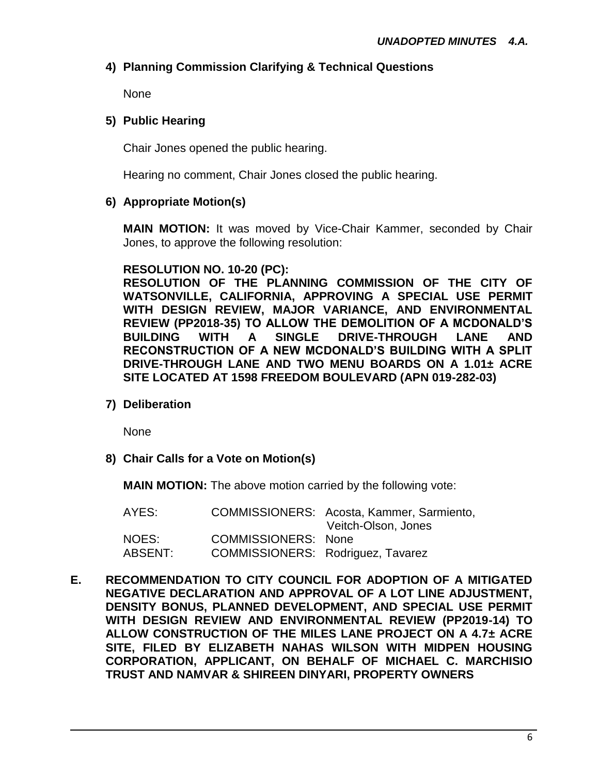# **4) Planning Commission Clarifying & Technical Questions**

None

#### **5) Public Hearing**

Chair Jones opened the public hearing.

Hearing no comment, Chair Jones closed the public hearing.

#### **6) Appropriate Motion(s)**

**MAIN MOTION:** It was moved by Vice-Chair Kammer, seconded by Chair Jones, to approve the following resolution:

#### **RESOLUTION NO. 10-20 (PC):**

**RESOLUTION OF THE PLANNING COMMISSION OF THE CITY OF WATSONVILLE, CALIFORNIA, APPROVING A SPECIAL USE PERMIT WITH DESIGN REVIEW, MAJOR VARIANCE, AND ENVIRONMENTAL REVIEW (PP2018-35) TO ALLOW THE DEMOLITION OF A MCDONALD'S BUILDING WITH A SINGLE DRIVE-THROUGH LANE AND RECONSTRUCTION OF A NEW MCDONALD'S BUILDING WITH A SPLIT DRIVE-THROUGH LANE AND TWO MENU BOARDS ON A 1.01± ACRE SITE LOCATED AT 1598 FREEDOM BOULEVARD (APN 019-282-03)**

**7) Deliberation**

None

**8) Chair Calls for a Vote on Motion(s)**

**MAIN MOTION:** The above motion carried by the following vote:

| AYES:   |                                   | COMMISSIONERS: Acosta, Kammer, Sarmiento,<br>Veitch-Olson, Jones |
|---------|-----------------------------------|------------------------------------------------------------------|
| NOES:   | <b>COMMISSIONERS: None</b>        |                                                                  |
| ABSENT: | COMMISSIONERS: Rodriguez, Tavarez |                                                                  |

**E. RECOMMENDATION TO CITY COUNCIL FOR ADOPTION OF A MITIGATED NEGATIVE DECLARATION AND APPROVAL OF A LOT LINE ADJUSTMENT, DENSITY BONUS, PLANNED DEVELOPMENT, AND SPECIAL USE PERMIT WITH DESIGN REVIEW AND ENVIRONMENTAL REVIEW (PP2019-14) TO ALLOW CONSTRUCTION OF THE MILES LANE PROJECT ON A 4.7± ACRE SITE, FILED BY ELIZABETH NAHAS WILSON WITH MIDPEN HOUSING CORPORATION, APPLICANT, ON BEHALF OF MICHAEL C. MARCHISIO TRUST AND NAMVAR & SHIREEN DINYARI, PROPERTY OWNERS**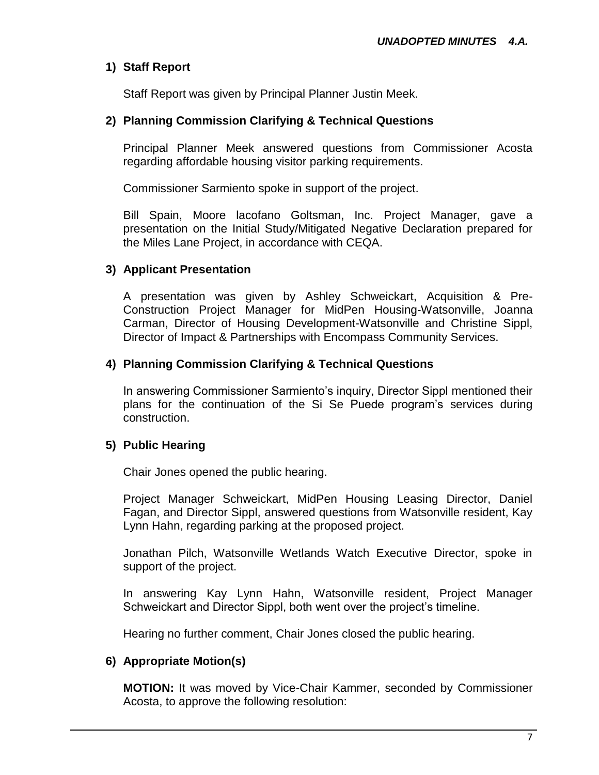#### **1) Staff Report**

Staff Report was given by Principal Planner Justin Meek.

#### **2) Planning Commission Clarifying & Technical Questions**

Principal Planner Meek answered questions from Commissioner Acosta regarding affordable housing visitor parking requirements.

Commissioner Sarmiento spoke in support of the project.

Bill Spain, Moore lacofano Goltsman, Inc. Project Manager, gave a presentation on the Initial Study/Mitigated Negative Declaration prepared for the Miles Lane Project, in accordance with CEQA.

#### **3) Applicant Presentation**

A presentation was given by Ashley Schweickart, Acquisition & Pre-Construction Project Manager for MidPen Housing-Watsonville, Joanna Carman, Director of Housing Development-Watsonville and Christine Sippl, Director of Impact & Partnerships with Encompass Community Services.

#### **4) Planning Commission Clarifying & Technical Questions**

In answering Commissioner Sarmiento's inquiry, Director Sippl mentioned their plans for the continuation of the Si Se Puede program's services during construction.

#### **5) Public Hearing**

Chair Jones opened the public hearing.

Project Manager Schweickart, MidPen Housing Leasing Director, Daniel Fagan, and Director Sippl, answered questions from Watsonville resident, Kay Lynn Hahn, regarding parking at the proposed project.

Jonathan Pilch, Watsonville Wetlands Watch Executive Director, spoke in support of the project.

In answering Kay Lynn Hahn, Watsonville resident, Project Manager Schweickart and Director Sippl, both went over the project's timeline.

Hearing no further comment, Chair Jones closed the public hearing.

#### **6) Appropriate Motion(s)**

**MOTION:** It was moved by Vice-Chair Kammer, seconded by Commissioner Acosta, to approve the following resolution: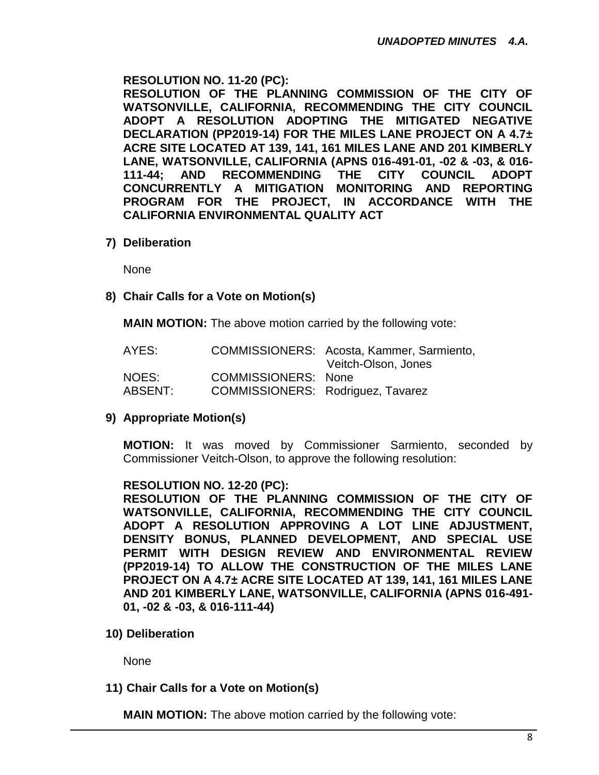# **RESOLUTION NO. 11-20 (PC):**

**RESOLUTION OF THE PLANNING COMMISSION OF THE CITY OF WATSONVILLE, CALIFORNIA, RECOMMENDING THE CITY COUNCIL ADOPT A RESOLUTION ADOPTING THE MITIGATED NEGATIVE DECLARATION (PP2019-14) FOR THE MILES LANE PROJECT ON A 4.7± ACRE SITE LOCATED AT 139, 141, 161 MILES LANE AND 201 KIMBERLY LANE, WATSONVILLE, CALIFORNIA (APNS 016-491-01, -02 & -03, & 016- 111-44; AND RECOMMENDING THE CITY COUNCIL ADOPT CONCURRENTLY A MITIGATION MONITORING AND REPORTING PROGRAM FOR THE PROJECT, IN ACCORDANCE WITH THE CALIFORNIA ENVIRONMENTAL QUALITY ACT**

**7) Deliberation**

None

#### **8) Chair Calls for a Vote on Motion(s)**

**MAIN MOTION:** The above motion carried by the following vote:

| AYES:   |                                   | COMMISSIONERS: Acosta, Kammer, Sarmiento,<br>Veitch-Olson, Jones |
|---------|-----------------------------------|------------------------------------------------------------------|
| NOES:   | <b>COMMISSIONERS: None</b>        |                                                                  |
| ABSENT: | COMMISSIONERS: Rodriguez, Tavarez |                                                                  |

# **9) Appropriate Motion(s)**

**MOTION:** It was moved by Commissioner Sarmiento, seconded by Commissioner Veitch-Olson, to approve the following resolution:

#### **RESOLUTION NO. 12-20 (PC):**

**RESOLUTION OF THE PLANNING COMMISSION OF THE CITY OF WATSONVILLE, CALIFORNIA, RECOMMENDING THE CITY COUNCIL ADOPT A RESOLUTION APPROVING A LOT LINE ADJUSTMENT, DENSITY BONUS, PLANNED DEVELOPMENT, AND SPECIAL USE PERMIT WITH DESIGN REVIEW AND ENVIRONMENTAL REVIEW (PP2019-14) TO ALLOW THE CONSTRUCTION OF THE MILES LANE PROJECT ON A 4.7± ACRE SITE LOCATED AT 139, 141, 161 MILES LANE AND 201 KIMBERLY LANE, WATSONVILLE, CALIFORNIA (APNS 016-491- 01, -02 & -03, & 016-111-44)**

**10) Deliberation**

None

#### **11) Chair Calls for a Vote on Motion(s)**

**MAIN MOTION:** The above motion carried by the following vote: